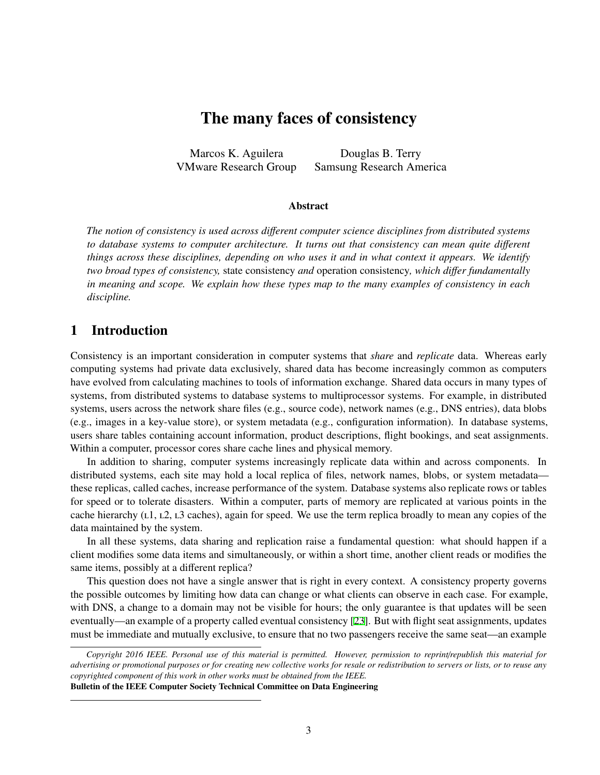# The many faces of consistency

Marcos K. Aguilera VMware Research Group

Douglas B. Terry Samsung Research America

#### Abstract

*The notion of consistency is used across di*ff*erent computer science disciplines from distributed systems to database systems to computer architecture. It turns out that consistency can mean quite di*ff*erent things across these disciplines, depending on who uses it and in what context it appears. We identify two broad types of consistency,* state consistency *and* operation consistency*, which di*ff*er fundamentally in meaning and scope. We explain how these types map to the many examples of consistency in each discipline.*

# 1 Introduction

Consistency is an important consideration in computer systems that *share* and *replicate* data. Whereas early computing systems had private data exclusively, shared data has become increasingly common as computers have evolved from calculating machines to tools of information exchange. Shared data occurs in many types of systems, from distributed systems to database systems to multiprocessor systems. For example, in distributed systems, users across the network share files (e.g., source code), network names (e.g., DNS entries), data blobs (e.g., images in a key-value store), or system metadata (e.g., configuration information). In database systems, users share tables containing account information, product descriptions, flight bookings, and seat assignments. Within a computer, processor cores share cache lines and physical memory.

In addition to sharing, computer systems increasingly replicate data within and across components. In distributed systems, each site may hold a local replica of files, network names, blobs, or system metadata these replicas, called caches, increase performance of the system. Database systems also replicate rows or tables for speed or to tolerate disasters. Within a computer, parts of memory are replicated at various points in the cache hierarchy  $(L1, L2, L3$  caches), again for speed. We use the term replica broadly to mean any copies of the data maintained by the system.

In all these systems, data sharing and replication raise a fundamental question: what should happen if a client modifies some data items and simultaneously, or within a short time, another client reads or modifies the same items, possibly at a different replica?

This question does not have a single answer that is right in every context. A consistency property governs the possible outcomes by limiting how data can change or what clients can observe in each case. For example, with DNS, a change to a domain may not be visible for hours; the only guarantee is that updates will be seen eventually—an example of a property called eventual consistency [\[23](#page-10-0)]. But with flight seat assignments, updates must be immediate and mutually exclusive, to ensure that no two passengers receive the same seat—an example

*Copyright 2016 IEEE. Personal use of this material is permitted. However, permission to reprint*/*republish this material for advertising or promotional purposes or for creating new collective works for resale or redistribution to servers or lists, or to reuse any copyrighted component of this work in other works must be obtained from the IEEE.*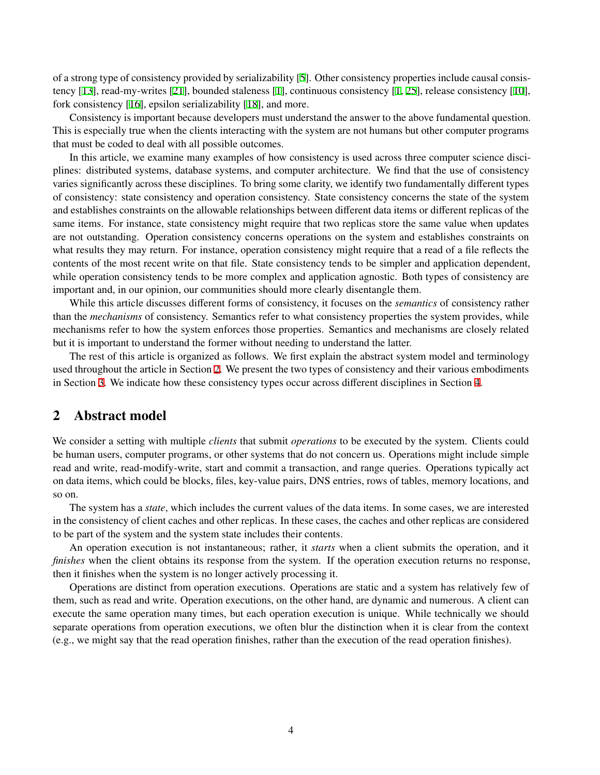of a strong type of consistency provided by serializability [\[5\]](#page-9-0). Other consistency properties include causal consistency [[13\]](#page-9-1), read-my-writes [\[21](#page-10-1)], bounded staleness [[1](#page-9-2)], continuous consistency [[1,](#page-9-2) [25](#page-10-2)], release consistency [\[10](#page-9-3)], fork consistency [[16\]](#page-9-4), epsilon serializability [[18\]](#page-10-3), and more.

Consistency is important because developers must understand the answer to the above fundamental question. This is especially true when the clients interacting with the system are not humans but other computer programs that must be coded to deal with all possible outcomes.

In this article, we examine many examples of how consistency is used across three computer science disciplines: distributed systems, database systems, and computer architecture. We find that the use of consistency varies significantly across these disciplines. To bring some clarity, we identify two fundamentally different types of consistency: state consistency and operation consistency. State consistency concerns the state of the system and establishes constraints on the allowable relationships between different data items or different replicas of the same items. For instance, state consistency might require that two replicas store the same value when updates are not outstanding. Operation consistency concerns operations on the system and establishes constraints on what results they may return. For instance, operation consistency might require that a read of a file reflects the contents of the most recent write on that file. State consistency tends to be simpler and application dependent, while operation consistency tends to be more complex and application agnostic. Both types of consistency are important and, in our opinion, our communities should more clearly disentangle them.

While this article discusses different forms of consistency, it focuses on the *semantics* of consistency rather than the *mechanisms* of consistency. Semantics refer to what consistency properties the system provides, while mechanisms refer to how the system enforces those properties. Semantics and mechanisms are closely related but it is important to understand the former without needing to understand the latter.

The rest of this article is organized as follows. We first explain the abstract system model and terminology used throughout the article in Section [2](#page-1-0). We present the two types of consistency and their various embodiments in Section [3](#page-2-0). We indicate how these consistency types occur across different disciplines in Section [4](#page-7-0).

# <span id="page-1-0"></span>2 Abstract model

We consider a setting with multiple *clients* that submit *operations* to be executed by the system. Clients could be human users, computer programs, or other systems that do not concern us. Operations might include simple read and write, read-modify-write, start and commit a transaction, and range queries. Operations typically act on data items, which could be blocks, files, key-value pairs, DNS entries, rows of tables, memory locations, and so on.

The system has a *state*, which includes the current values of the data items. In some cases, we are interested in the consistency of client caches and other replicas. In these cases, the caches and other replicas are considered to be part of the system and the system state includes their contents.

An operation execution is not instantaneous; rather, it *starts* when a client submits the operation, and it *finishes* when the client obtains its response from the system. If the operation execution returns no response, then it finishes when the system is no longer actively processing it.

Operations are distinct from operation executions. Operations are static and a system has relatively few of them, such as read and write. Operation executions, on the other hand, are dynamic and numerous. A client can execute the same operation many times, but each operation execution is unique. While technically we should separate operations from operation executions, we often blur the distinction when it is clear from the context (e.g., we might say that the read operation finishes, rather than the execution of the read operation finishes).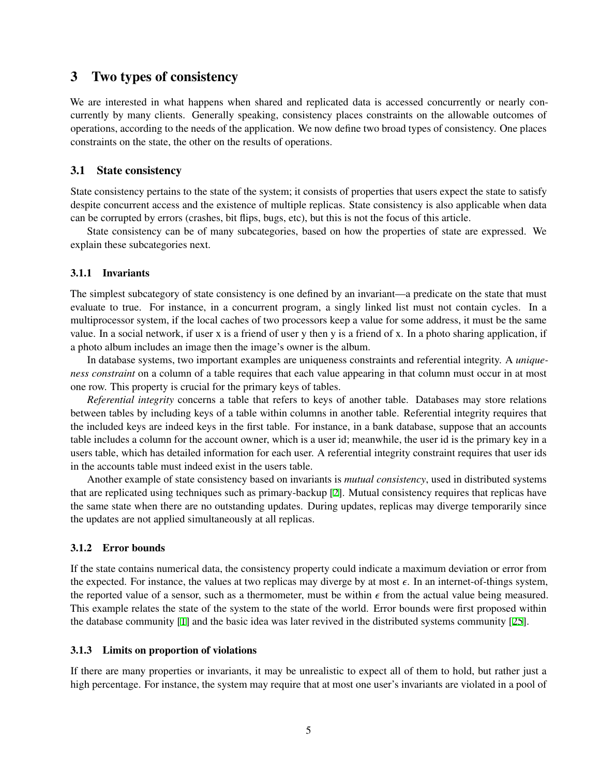# <span id="page-2-0"></span>3 Two types of consistency

We are interested in what happens when shared and replicated data is accessed concurrently or nearly concurrently by many clients. Generally speaking, consistency places constraints on the allowable outcomes of operations, according to the needs of the application. We now define two broad types of consistency. One places constraints on the state, the other on the results of operations.

## 3.1 State consistency

State consistency pertains to the state of the system; it consists of properties that users expect the state to satisfy despite concurrent access and the existence of multiple replicas. State consistency is also applicable when data can be corrupted by errors (crashes, bit flips, bugs, etc), but this is not the focus of this article.

State consistency can be of many subcategories, based on how the properties of state are expressed. We explain these subcategories next.

## 3.1.1 Invariants

The simplest subcategory of state consistency is one defined by an invariant—a predicate on the state that must evaluate to true. For instance, in a concurrent program, a singly linked list must not contain cycles. In a multiprocessor system, if the local caches of two processors keep a value for some address, it must be the same value. In a social network, if user x is a friend of user y then y is a friend of x. In a photo sharing application, if a photo album includes an image then the image's owner is the album.

In database systems, two important examples are uniqueness constraints and referential integrity. A *uniqueness constraint* on a column of a table requires that each value appearing in that column must occur in at most one row. This property is crucial for the primary keys of tables.

*Referential integrity* concerns a table that refers to keys of another table. Databases may store relations between tables by including keys of a table within columns in another table. Referential integrity requires that the included keys are indeed keys in the first table. For instance, in a bank database, suppose that an accounts table includes a column for the account owner, which is a user id; meanwhile, the user id is the primary key in a users table, which has detailed information for each user. A referential integrity constraint requires that user ids in the accounts table must indeed exist in the users table.

Another example of state consistency based on invariants is *mutual consistency*, used in distributed systems that are replicated using techniques such as primary-backup [\[2\]](#page-9-5). Mutual consistency requires that replicas have the same state when there are no outstanding updates. During updates, replicas may diverge temporarily since the updates are not applied simultaneously at all replicas.

## 3.1.2 Error bounds

If the state contains numerical data, the consistency property could indicate a maximum deviation or error from the expected. For instance, the values at two replicas may diverge by at most  $\epsilon$ . In an internet-of-things system, the reported value of a sensor, such as a thermometer, must be within  $\epsilon$  from the actual value being measured. This example relates the state of the system to the state of the world. Error bounds were first proposed within the database community [\[1\]](#page-9-2) and the basic idea was later revived in the distributed systems community [\[25\]](#page-10-2).

## 3.1.3 Limits on proportion of violations

If there are many properties or invariants, it may be unrealistic to expect all of them to hold, but rather just a high percentage. For instance, the system may require that at most one user's invariants are violated in a pool of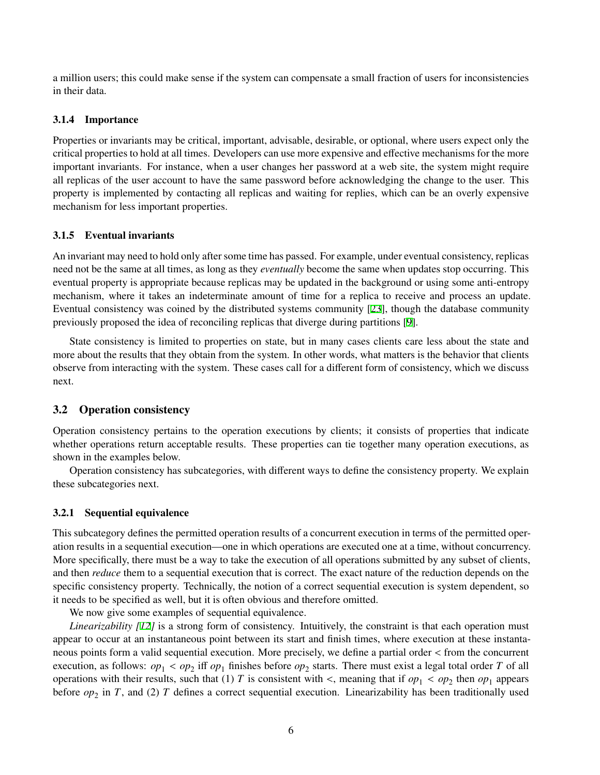a million users; this could make sense if the system can compensate a small fraction of users for inconsistencies in their data.

### 3.1.4 Importance

Properties or invariants may be critical, important, advisable, desirable, or optional, where users expect only the critical properties to hold at all times. Developers can use more expensive and effective mechanisms for the more important invariants. For instance, when a user changes her password at a web site, the system might require all replicas of the user account to have the same password before acknowledging the change to the user. This property is implemented by contacting all replicas and waiting for replies, which can be an overly expensive mechanism for less important properties.

### 3.1.5 Eventual invariants

An invariant may need to hold only after some time has passed. For example, under eventual consistency, replicas need not be the same at all times, as long as they *eventually* become the same when updates stop occurring. This eventual property is appropriate because replicas may be updated in the background or using some anti-entropy mechanism, where it takes an indeterminate amount of time for a replica to receive and process an update. Eventual consistency was coined by the distributed systems community [\[23](#page-10-0)], though the database community previously proposed the idea of reconciling replicas that diverge during partitions [\[9\]](#page-9-6).

State consistency is limited to properties on state, but in many cases clients care less about the state and more about the results that they obtain from the system. In other words, what matters is the behavior that clients observe from interacting with the system. These cases call for a different form of consistency, which we discuss next.

### <span id="page-3-0"></span>3.2 Operation consistency

Operation consistency pertains to the operation executions by clients; it consists of properties that indicate whether operations return acceptable results. These properties can tie together many operation executions, as shown in the examples below.

Operation consistency has subcategories, with different ways to define the consistency property. We explain these subcategories next.

#### 3.2.1 Sequential equivalence

This subcategory defines the permitted operation results of a concurrent execution in terms of the permitted operation results in a sequential execution—one in which operations are executed one at a time, without concurrency. More specifically, there must be a way to take the execution of all operations submitted by any subset of clients, and then *reduce* them to a sequential execution that is correct. The exact nature of the reduction depends on the specific consistency property. Technically, the notion of a correct sequential execution is system dependent, so it needs to be specified as well, but it is often obvious and therefore omitted.

We now give some examples of sequential equivalence.

*Linearizability [[12\]](#page-9-7)* is a strong form of consistency. Intuitively, the constraint is that each operation must appear to occur at an instantaneous point between its start and finish times, where execution at these instantaneous points form a valid sequential execution. More precisely, we define a partial order < from the concurrent execution, as follows:  $op_1 < op_2$  iff  $op_1$  finishes before  $op_2$  starts. There must exist a legal total order *T* of all operations with their results, such that (1) *T* is consistent with <, meaning that if  $op_1 < op_2$  then  $op_1$  appears before  $op_2$  in *T*, and (2) *T* defines a correct sequential execution. Linearizability has been traditionally used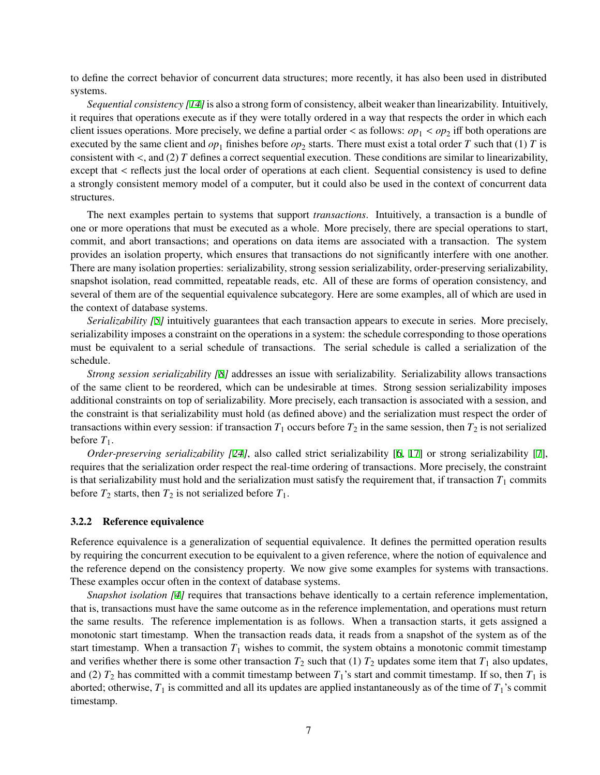to define the correct behavior of concurrent data structures; more recently, it has also been used in distributed systems.

*Sequential consistency [[14\]](#page-9-8)*is also a strong form of consistency, albeit weaker than linearizability. Intuitively, it requires that operations execute as if they were totally ordered in a way that respects the order in which each client issues operations. More precisely, we define a partial order  $\lt$  as follows:  $op_1 < op_2$  iff both operations are executed by the same client and  $op_1$  finishes before  $op_2$  starts. There must exist a total order *T* such that (1) *T* is consistent with  $\lt$ , and (2) *T* defines a correct sequential execution. These conditions are similar to linearizability, except that  $\lt$  reflects just the local order of operations at each client. Sequential consistency is used to define a strongly consistent memory model of a computer, but it could also be used in the context of concurrent data structures.

The next examples pertain to systems that support *transactions*. Intuitively, a transaction is a bundle of one or more operations that must be executed as a whole. More precisely, there are special operations to start, commit, and abort transactions; and operations on data items are associated with a transaction. The system provides an isolation property, which ensures that transactions do not significantly interfere with one another. There are many isolation properties: serializability, strong session serializability, order-preserving serializability, snapshot isolation, read committed, repeatable reads, etc. All of these are forms of operation consistency, and several of them are of the sequential equivalence subcategory. Here are some examples, all of which are used in the context of database systems.

*Serializability [[5](#page-9-0)]* intuitively guarantees that each transaction appears to execute in series. More precisely, serializability imposes a constraint on the operations in a system: the schedule corresponding to those operations must be equivalent to a serial schedule of transactions. The serial schedule is called a serialization of the schedule.

*Strong session serializability [\[8\]](#page-9-9)* addresses an issue with serializability. Serializability allows transactions of the same client to be reordered, which can be undesirable at times. Strong session serializability imposes additional constraints on top of serializability. More precisely, each transaction is associated with a session, and the constraint is that serializability must hold (as defined above) and the serialization must respect the order of transactions within every session: if transaction  $T_1$  occurs before  $T_2$  in the same session, then  $T_2$  is not serialized before  $T_1$ .

*Order-preserving serializability [\[24](#page-10-4)]*, also called strict serializability [[6](#page-9-10), [17\]](#page-9-11) or strong serializability [[7](#page-9-12)], requires that the serialization order respect the real-time ordering of transactions. More precisely, the constraint is that serializability must hold and the serialization must satisfy the requirement that, if transaction  $T_1$  commits before  $T_2$  starts, then  $T_2$  is not serialized before  $T_1$ .

#### 3.2.2 Reference equivalence

Reference equivalence is a generalization of sequential equivalence. It defines the permitted operation results by requiring the concurrent execution to be equivalent to a given reference, where the notion of equivalence and the reference depend on the consistency property. We now give some examples for systems with transactions. These examples occur often in the context of database systems.

*Snapshot isolation [[4](#page-9-13)]* requires that transactions behave identically to a certain reference implementation, that is, transactions must have the same outcome as in the reference implementation, and operations must return the same results. The reference implementation is as follows. When a transaction starts, it gets assigned a monotonic start timestamp. When the transaction reads data, it reads from a snapshot of the system as of the start timestamp. When a transaction  $T_1$  wishes to commit, the system obtains a monotonic commit timestamp and verifies whether there is some other transaction  $T_2$  such that (1)  $T_2$  updates some item that  $T_1$  also updates, and (2)  $T_2$  has committed with a commit timestamp between  $T_1$ 's start and commit timestamp. If so, then  $T_1$  is aborted; otherwise,  $T_1$  is committed and all its updates are applied instantaneously as of the time of  $T_1$ 's commit timestamp.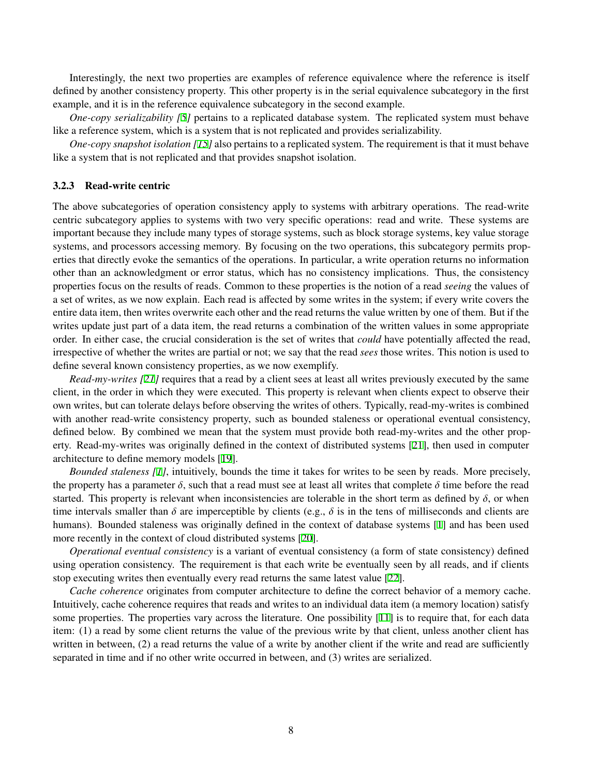Interestingly, the next two properties are examples of reference equivalence where the reference is itself defined by another consistency property. This other property is in the serial equivalence subcategory in the first example, and it is in the reference equivalence subcategory in the second example.

*One-copy serializability [[5](#page-9-0)]* pertains to a replicated database system. The replicated system must behave like a reference system, which is a system that is not replicated and provides serializability.

*One-copy snapshot isolation [\[15](#page-9-14)]* also pertains to a replicated system. The requirement is that it must behave like a system that is not replicated and that provides snapshot isolation.

#### 3.2.3 Read-write centric

The above subcategories of operation consistency apply to systems with arbitrary operations. The read-write centric subcategory applies to systems with two very specific operations: read and write. These systems are important because they include many types of storage systems, such as block storage systems, key value storage systems, and processors accessing memory. By focusing on the two operations, this subcategory permits properties that directly evoke the semantics of the operations. In particular, a write operation returns no information other than an acknowledgment or error status, which has no consistency implications. Thus, the consistency properties focus on the results of reads. Common to these properties is the notion of a read *seeing* the values of a set of writes, as we now explain. Each read is affected by some writes in the system; if every write covers the entire data item, then writes overwrite each other and the read returns the value written by one of them. But if the writes update just part of a data item, the read returns a combination of the written values in some appropriate order. In either case, the crucial consideration is the set of writes that *could* have potentially affected the read, irrespective of whether the writes are partial or not; we say that the read *sees* those writes. This notion is used to define several known consistency properties, as we now exemplify.

*Read-my-writes [\[21](#page-10-1)]* requires that a read by a client sees at least all writes previously executed by the same client, in the order in which they were executed. This property is relevant when clients expect to observe their own writes, but can tolerate delays before observing the writes of others. Typically, read-my-writes is combined with another read-write consistency property, such as bounded staleness or operational eventual consistency, defined below. By combined we mean that the system must provide both read-my-writes and the other property. Read-my-writes was originally defined in the context of distributed systems [[21\]](#page-10-1), then used in computer architecture to define memory models [[19\]](#page-10-5).

*Bounded staleness [[1](#page-9-2)]*, intuitively, bounds the time it takes for writes to be seen by reads. More precisely, the property has a parameter  $\delta$ , such that a read must see at least all writes that complete  $\delta$  time before the read started. This property is relevant when inconsistencies are tolerable in the short term as defined by  $\delta$ , or when time intervals smaller than  $\delta$  are imperceptible by clients (e.g.,  $\delta$  is in the tens of milliseconds and clients are humans). Bounded staleness was originally defined in the context of database systems [\[1\]](#page-9-2) and has been used more recently in the context of cloud distributed systems [[20\]](#page-10-6).

*Operational eventual consistency* is a variant of eventual consistency (a form of state consistency) defined using operation consistency. The requirement is that each write be eventually seen by all reads, and if clients stop executing writes then eventually every read returns the same latest value [\[22](#page-10-7)].

*Cache coherence* originates from computer architecture to define the correct behavior of a memory cache. Intuitively, cache coherence requires that reads and writes to an individual data item (a memory location) satisfy some properties. The properties vary across the literature. One possibility [[11\]](#page-9-15) is to require that, for each data item: (1) a read by some client returns the value of the previous write by that client, unless another client has written in between, (2) a read returns the value of a write by another client if the write and read are sufficiently separated in time and if no other write occurred in between, and (3) writes are serialized.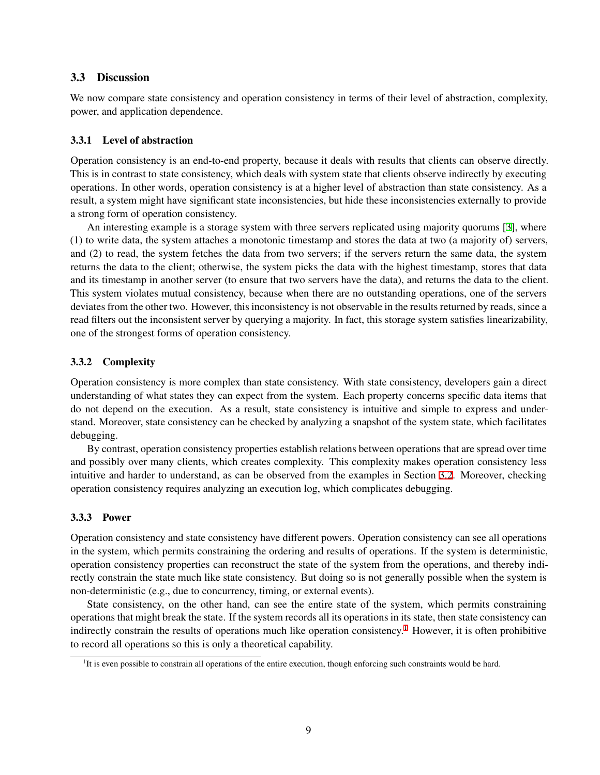## 3.3 Discussion

We now compare state consistency and operation consistency in terms of their level of abstraction, complexity, power, and application dependence.

## 3.3.1 Level of abstraction

Operation consistency is an end-to-end property, because it deals with results that clients can observe directly. This is in contrast to state consistency, which deals with system state that clients observe indirectly by executing operations. In other words, operation consistency is at a higher level of abstraction than state consistency. As a result, a system might have significant state inconsistencies, but hide these inconsistencies externally to provide a strong form of operation consistency.

An interesting example is a storage system with three servers replicated using majority quorums [[3](#page-9-16)], where (1) to write data, the system attaches a monotonic timestamp and stores the data at two (a majority of) servers, and (2) to read, the system fetches the data from two servers; if the servers return the same data, the system returns the data to the client; otherwise, the system picks the data with the highest timestamp, stores that data and its timestamp in another server (to ensure that two servers have the data), and returns the data to the client. This system violates mutual consistency, because when there are no outstanding operations, one of the servers deviates from the other two. However, this inconsistency is not observable in the results returned by reads, since a read filters out the inconsistent server by querying a majority. In fact, this storage system satisfies linearizability, one of the strongest forms of operation consistency.

### 3.3.2 Complexity

Operation consistency is more complex than state consistency. With state consistency, developers gain a direct understanding of what states they can expect from the system. Each property concerns specific data items that do not depend on the execution. As a result, state consistency is intuitive and simple to express and understand. Moreover, state consistency can be checked by analyzing a snapshot of the system state, which facilitates debugging.

By contrast, operation consistency properties establish relations between operations that are spread over time and possibly over many clients, which creates complexity. This complexity makes operation consistency less intuitive and harder to understand, as can be observed from the examples in Section [3.2](#page-3-0). Moreover, checking operation consistency requires analyzing an execution log, which complicates debugging.

### 3.3.3 Power

Operation consistency and state consistency have different powers. Operation consistency can see all operations in the system, which permits constraining the ordering and results of operations. If the system is deterministic, operation consistency properties can reconstruct the state of the system from the operations, and thereby indirectly constrain the state much like state consistency. But doing so is not generally possible when the system is non-deterministic (e.g., due to concurrency, timing, or external events).

State consistency, on the other hand, can see the entire state of the system, which permits constraining operations that might break the state. If the system records all its operations in its state, then state consistency can indirectly constrain the results of operations much like operation consistency.<sup>[1](#page-6-0)</sup> However, it is often prohibitive to record all operations so this is only a theoretical capability.

<span id="page-6-0"></span><sup>&</sup>lt;sup>1</sup>It is even possible to constrain all operations of the entire execution, though enforcing such constraints would be hard.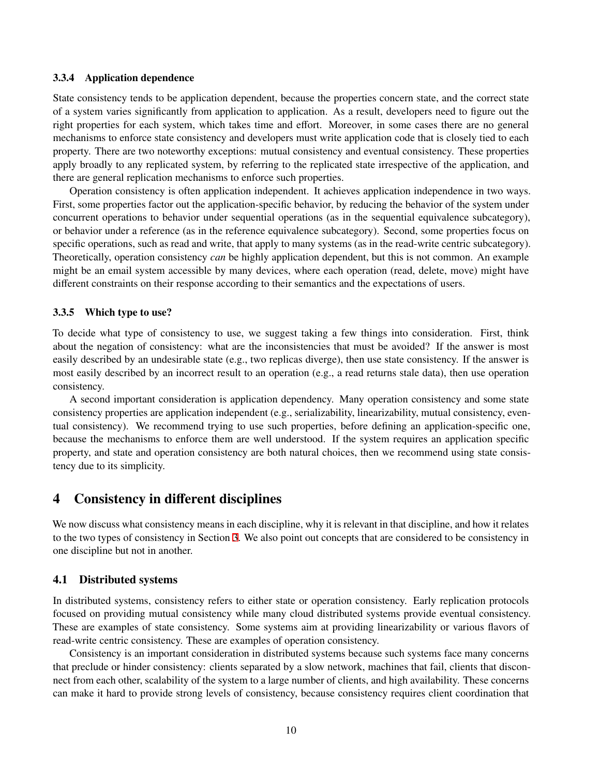### 3.3.4 Application dependence

State consistency tends to be application dependent, because the properties concern state, and the correct state of a system varies significantly from application to application. As a result, developers need to figure out the right properties for each system, which takes time and effort. Moreover, in some cases there are no general mechanisms to enforce state consistency and developers must write application code that is closely tied to each property. There are two noteworthy exceptions: mutual consistency and eventual consistency. These properties apply broadly to any replicated system, by referring to the replicated state irrespective of the application, and there are general replication mechanisms to enforce such properties.

Operation consistency is often application independent. It achieves application independence in two ways. First, some properties factor out the application-specific behavior, by reducing the behavior of the system under concurrent operations to behavior under sequential operations (as in the sequential equivalence subcategory), or behavior under a reference (as in the reference equivalence subcategory). Second, some properties focus on specific operations, such as read and write, that apply to many systems (as in the read-write centric subcategory). Theoretically, operation consistency *can* be highly application dependent, but this is not common. An example might be an email system accessible by many devices, where each operation (read, delete, move) might have different constraints on their response according to their semantics and the expectations of users.

#### 3.3.5 Which type to use?

To decide what type of consistency to use, we suggest taking a few things into consideration. First, think about the negation of consistency: what are the inconsistencies that must be avoided? If the answer is most easily described by an undesirable state (e.g., two replicas diverge), then use state consistency. If the answer is most easily described by an incorrect result to an operation (e.g., a read returns stale data), then use operation consistency.

A second important consideration is application dependency. Many operation consistency and some state consistency properties are application independent (e.g., serializability, linearizability, mutual consistency, eventual consistency). We recommend trying to use such properties, before defining an application-specific one, because the mechanisms to enforce them are well understood. If the system requires an application specific property, and state and operation consistency are both natural choices, then we recommend using state consistency due to its simplicity.

# <span id="page-7-0"></span>4 Consistency in different disciplines

We now discuss what consistency means in each discipline, why it is relevant in that discipline, and how it relates to the two types of consistency in Section [3](#page-2-0). We also point out concepts that are considered to be consistency in one discipline but not in another.

#### 4.1 Distributed systems

In distributed systems, consistency refers to either state or operation consistency. Early replication protocols focused on providing mutual consistency while many cloud distributed systems provide eventual consistency. These are examples of state consistency. Some systems aim at providing linearizability or various flavors of read-write centric consistency. These are examples of operation consistency.

Consistency is an important consideration in distributed systems because such systems face many concerns that preclude or hinder consistency: clients separated by a slow network, machines that fail, clients that disconnect from each other, scalability of the system to a large number of clients, and high availability. These concerns can make it hard to provide strong levels of consistency, because consistency requires client coordination that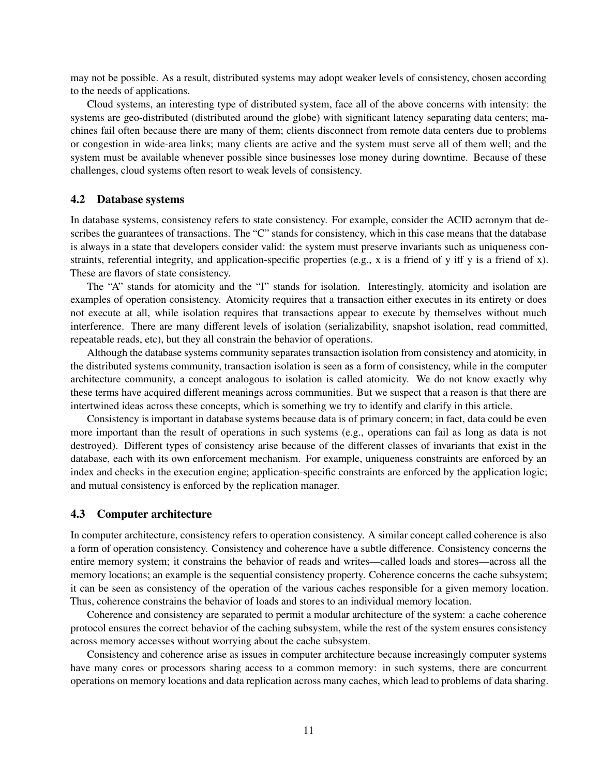may not be possible. As a result, distributed systems may adopt weaker levels of consistency, chosen according to the needs of applications.

Cloud systems, an interesting type of distributed system, face all of the above concerns with intensity: the systems are geo-distributed (distributed around the globe) with significant latency separating data centers; machines fail often because there are many of them; clients disconnect from remote data centers due to problems or congestion in wide-area links; many clients are active and the system must serve all of them well; and the system must be available whenever possible since businesses lose money during downtime. Because of these challenges, cloud systems often resort to weak levels of consistency.

### 4.2 Database systems

In database systems, consistency refers to state consistency. For example, consider the ACID acronym that describes the guarantees of transactions. The "C" stands for consistency, which in this case means that the database is always in a state that developers consider valid: the system must preserve invariants such as uniqueness constraints, referential integrity, and application-specific properties (e.g., x is a friend of y iff y is a friend of x). These are flavors of state consistency.

The "A" stands for atomicity and the "I" stands for isolation. Interestingly, atomicity and isolation are examples of operation consistency. Atomicity requires that a transaction either executes in its entirety or does not execute at all, while isolation requires that transactions appear to execute by themselves without much interference. There are many different levels of isolation (serializability, snapshot isolation, read committed, repeatable reads, etc), but they all constrain the behavior of operations.

Although the database systems community separates transaction isolation from consistency and atomicity, in the distributed systems community, transaction isolation is seen as a form of consistency, while in the computer architecture community, a concept analogous to isolation is called atomicity. We do not know exactly why these terms have acquired different meanings across communities. But we suspect that a reason is that there are intertwined ideas across these concepts, which is something we try to identify and clarify in this article.

Consistency is important in database systems because data is of primary concern; in fact, data could be even more important than the result of operations in such systems (e.g., operations can fail as long as data is not destroyed). Different types of consistency arise because of the different classes of invariants that exist in the database, each with its own enforcement mechanism. For example, uniqueness constraints are enforced by an index and checks in the execution engine; application-specific constraints are enforced by the application logic; and mutual consistency is enforced by the replication manager.

#### 4.3 Computer architecture

In computer architecture, consistency refers to operation consistency. A similar concept called coherence is also a form of operation consistency. Consistency and coherence have a subtle difference. Consistency concerns the entire memory system; it constrains the behavior of reads and writes—called loads and stores—across all the memory locations; an example is the sequential consistency property. Coherence concerns the cache subsystem; it can be seen as consistency of the operation of the various caches responsible for a given memory location. Thus, coherence constrains the behavior of loads and stores to an individual memory location.

Coherence and consistency are separated to permit a modular architecture of the system: a cache coherence protocol ensures the correct behavior of the caching subsystem, while the rest of the system ensures consistency across memory accesses without worrying about the cache subsystem.

Consistency and coherence arise as issues in computer architecture because increasingly computer systems have many cores or processors sharing access to a common memory: in such systems, there are concurrent operations on memory locations and data replication across many caches, which lead to problems of data sharing.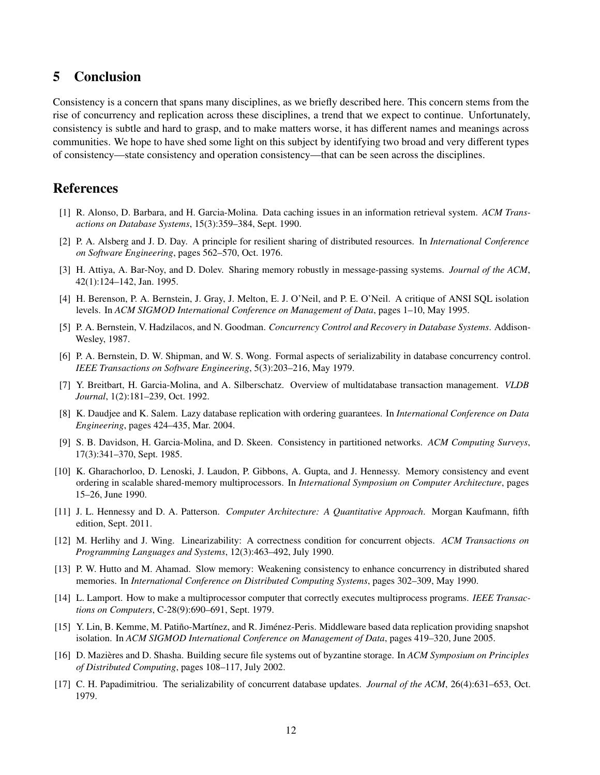# 5 Conclusion

Consistency is a concern that spans many disciplines, as we briefly described here. This concern stems from the rise of concurrency and replication across these disciplines, a trend that we expect to continue. Unfortunately, consistency is subtle and hard to grasp, and to make matters worse, it has different names and meanings across communities. We hope to have shed some light on this subject by identifying two broad and very different types of consistency—state consistency and operation consistency—that can be seen across the disciplines.

# References

- <span id="page-9-2"></span>[1] R. Alonso, D. Barbara, and H. Garcia-Molina. Data caching issues in an information retrieval system. *ACM Transactions on Database Systems*, 15(3):359–384, Sept. 1990.
- <span id="page-9-5"></span>[2] P. A. Alsberg and J. D. Day. A principle for resilient sharing of distributed resources. In *International Conference on Software Engineering*, pages 562–570, Oct. 1976.
- <span id="page-9-16"></span>[3] H. Attiya, A. Bar-Noy, and D. Dolev. Sharing memory robustly in message-passing systems. *Journal of the ACM*, 42(1):124–142, Jan. 1995.
- <span id="page-9-13"></span>[4] H. Berenson, P. A. Bernstein, J. Gray, J. Melton, E. J. O'Neil, and P. E. O'Neil. A critique of ANSI SQL isolation levels. In *ACM SIGMOD International Conference on Management of Data*, pages 1–10, May 1995.
- <span id="page-9-0"></span>[5] P. A. Bernstein, V. Hadzilacos, and N. Goodman. *Concurrency Control and Recovery in Database Systems*. Addison-Wesley, 1987.
- <span id="page-9-10"></span>[6] P. A. Bernstein, D. W. Shipman, and W. S. Wong. Formal aspects of serializability in database concurrency control. *IEEE Transactions on Software Engineering*, 5(3):203–216, May 1979.
- <span id="page-9-12"></span>[7] Y. Breitbart, H. Garcia-Molina, and A. Silberschatz. Overview of multidatabase transaction management. *VLDB Journal*, 1(2):181–239, Oct. 1992.
- <span id="page-9-9"></span>[8] K. Daudjee and K. Salem. Lazy database replication with ordering guarantees. In *International Conference on Data Engineering*, pages 424–435, Mar. 2004.
- <span id="page-9-6"></span>[9] S. B. Davidson, H. Garcia-Molina, and D. Skeen. Consistency in partitioned networks. *ACM Computing Surveys*, 17(3):341–370, Sept. 1985.
- <span id="page-9-3"></span>[10] K. Gharachorloo, D. Lenoski, J. Laudon, P. Gibbons, A. Gupta, and J. Hennessy. Memory consistency and event ordering in scalable shared-memory multiprocessors. In *International Symposium on Computer Architecture*, pages 15–26, June 1990.
- <span id="page-9-15"></span>[11] J. L. Hennessy and D. A. Patterson. *Computer Architecture: A Quantitative Approach*. Morgan Kaufmann, fifth edition, Sept. 2011.
- <span id="page-9-7"></span>[12] M. Herlihy and J. Wing. Linearizability: A correctness condition for concurrent objects. *ACM Transactions on Programming Languages and Systems*, 12(3):463–492, July 1990.
- <span id="page-9-1"></span>[13] P. W. Hutto and M. Ahamad. Slow memory: Weakening consistency to enhance concurrency in distributed shared memories. In *International Conference on Distributed Computing Systems*, pages 302–309, May 1990.
- <span id="page-9-8"></span>[14] L. Lamport. How to make a multiprocessor computer that correctly executes multiprocess programs. *IEEE Transactions on Computers*, C-28(9):690–691, Sept. 1979.
- <span id="page-9-14"></span>[15] Y. Lin, B. Kemme, M. Patiño-Martínez, and R. Jiménez-Peris. Middleware based data replication providing snapshot isolation. In *ACM SIGMOD International Conference on Management of Data*, pages 419–320, June 2005.
- <span id="page-9-4"></span>[16] D. Mazieres and D. Shasha. Building secure file systems out of byzantine storage. In ` *ACM Symposium on Principles of Distributed Computing*, pages 108–117, July 2002.
- <span id="page-9-11"></span>[17] C. H. Papadimitriou. The serializability of concurrent database updates. *Journal of the ACM*, 26(4):631–653, Oct. 1979.